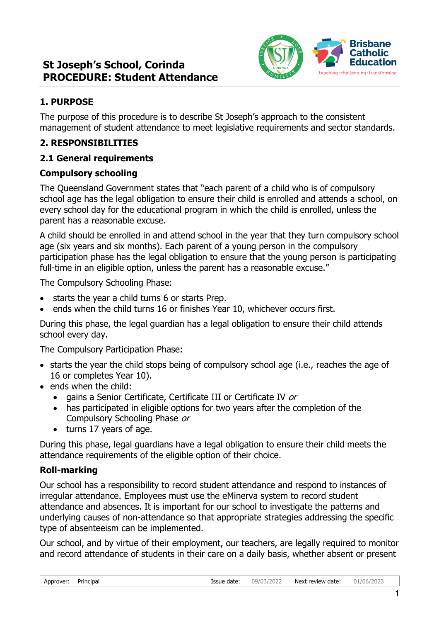

## **1. PURPOSE**

The purpose of this procedure is to describe St Joseph's approach to the consistent management of student attendance to meet legislative requirements and sector standards.

## **2. RESPONSIBILITIES**

### **2.1 General requirements**

### **Compulsory schooling**

The Queensland Government states that "each parent of a child who is of compulsory school age has the legal obligation to ensure their child is enrolled and attends a school, on every school day for the educational program in which the child is enrolled, unless the parent has a reasonable excuse.

A child should be enrolled in and attend school in the year that they turn compulsory school age (six years and six months). Each parent of a young person in the compulsory participation phase has the legal obligation to ensure that the young person is participating full-time in an eligible option, unless the parent has a reasonable excuse."

The Compulsory Schooling Phase:

- starts the year a child turns 6 or starts Prep.
- ends when the child turns 16 or finishes Year 10, whichever occurs first.

During this phase, the legal guardian has a legal obligation to ensure their child attends school every day.

The Compulsory Participation Phase:

- starts the year the child stops being of compulsory school age (i.e., reaches the age of 16 or completes Year 10).
- ends when the child:
	- gains a Senior Certificate, Certificate III or Certificate IV or
	- has participated in eligible options for two years after the completion of the Compulsory Schooling Phase or
	- turns 17 years of age.

During this phase, legal guardians have a legal obligation to ensure their child meets the attendance requirements of the eligible option of their choice.

### **Roll-marking**

Our school has a responsibility to record student attendance and respond to instances of irregular attendance. Employees must use the eMinerva system to record student attendance and absences. It is important for our school to investigate the patterns and underlying causes of non-attendance so that appropriate strategies addressing the specific type of absenteeism can be implemented.

Our school, and by virtue of their employment, our teachers, are legally required to monitor and record attendance of students in their care on a daily basis, whether absent or present

| Approver: | Principal |  |
|-----------|-----------|--|
|-----------|-----------|--|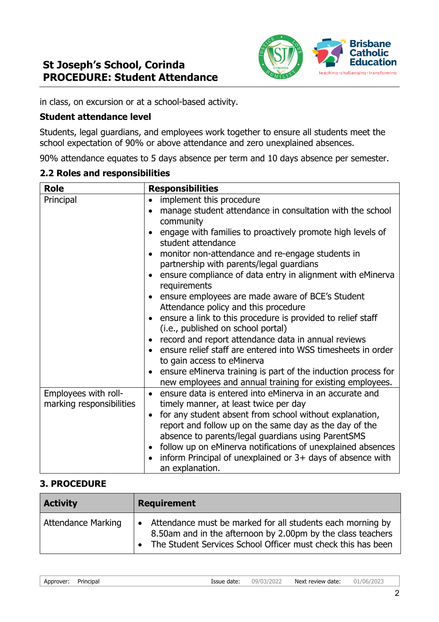

in class, on excursion or at a school-based activity.

### **Student attendance level**

Students, legal guardians, and employees work together to ensure all students meet the school expectation of 90% or above attendance and zero unexplained absences.

90% attendance equates to 5 days absence per term and 10 days absence per semester.

#### **2.2 Roles and responsibilities**

| <b>Role</b>              | <b>Responsibilities</b>                                                                    |  |
|--------------------------|--------------------------------------------------------------------------------------------|--|
| Principal                | implement this procedure<br>$\bullet$                                                      |  |
|                          | manage student attendance in consultation with the school                                  |  |
|                          | community                                                                                  |  |
|                          | engage with families to proactively promote high levels of<br>student attendance           |  |
|                          | monitor non-attendance and re-engage students in                                           |  |
|                          | partnership with parents/legal guardians                                                   |  |
|                          | ensure compliance of data entry in alignment with eMinerva<br>requirements                 |  |
|                          | ensure employees are made aware of BCE's Student                                           |  |
|                          | Attendance policy and this procedure                                                       |  |
|                          | ensure a link to this procedure is provided to relief staff                                |  |
|                          | (i.e., published on school portal)                                                         |  |
|                          | record and report attendance data in annual reviews                                        |  |
|                          | ensure relief staff are entered into WSS timesheets in order<br>to gain access to eMinerva |  |
|                          | ensure eMinerva training is part of the induction process for                              |  |
|                          | new employees and annual training for existing employees.                                  |  |
| Employees with roll-     | ensure data is entered into eMinerva in an accurate and<br>$\bullet$                       |  |
| marking responsibilities | timely manner, at least twice per day                                                      |  |
|                          | for any student absent from school without explanation,<br>$\bullet$                       |  |
|                          | report and follow up on the same day as the day of the                                     |  |
|                          | absence to parents/legal guardians using ParentSMS                                         |  |
|                          | follow up on eMinerva notifications of unexplained absences                                |  |
|                          | inform Principal of unexplained or 3+ days of absence with                                 |  |
|                          | an explanation.                                                                            |  |

### **3. PROCEDURE**

| <b>Activity</b>    | <b>Requirement</b>                                                                                                                                                                        |
|--------------------|-------------------------------------------------------------------------------------------------------------------------------------------------------------------------------------------|
| Attendance Marking | Attendance must be marked for all students each morning by<br>8.50am and in the afternoon by 2.00pm by the class teachers<br>The Student Services School Officer must check this has been |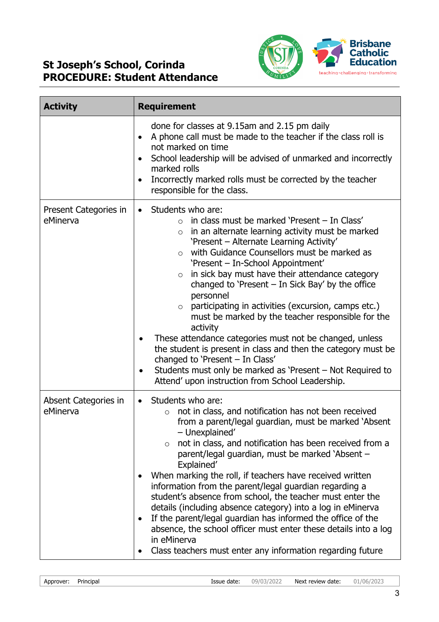

| <b>Activity</b>                   | <b>Requirement</b>                                                                                                                                                                                                                                                                                                                                                                                                                                                                                                                                                                                                                                                                                                                                                                                                                                                   |  |
|-----------------------------------|----------------------------------------------------------------------------------------------------------------------------------------------------------------------------------------------------------------------------------------------------------------------------------------------------------------------------------------------------------------------------------------------------------------------------------------------------------------------------------------------------------------------------------------------------------------------------------------------------------------------------------------------------------------------------------------------------------------------------------------------------------------------------------------------------------------------------------------------------------------------|--|
|                                   | done for classes at 9.15am and 2.15 pm daily<br>A phone call must be made to the teacher if the class roll is<br>$\bullet$<br>not marked on time<br>School leadership will be advised of unmarked and incorrectly<br>$\bullet$<br>marked rolls<br>Incorrectly marked rolls must be corrected by the teacher<br>$\bullet$<br>responsible for the class.                                                                                                                                                                                                                                                                                                                                                                                                                                                                                                               |  |
| Present Categories in<br>eMinerva | Students who are:<br>$\bullet$<br>in class must be marked 'Present - In Class'<br>$\circ$<br>in an alternate learning activity must be marked<br>$\circ$<br>'Present - Alternate Learning Activity'<br>with Guidance Counsellors must be marked as<br>$\circ$<br>'Present - In-School Appointment'<br>in sick bay must have their attendance category<br>$\circ$<br>changed to 'Present $-$ In Sick Bay' by the office<br>personnel<br>participating in activities (excursion, camps etc.)<br>$\circ$<br>must be marked by the teacher responsible for the<br>activity<br>These attendance categories must not be changed, unless<br>the student is present in class and then the category must be<br>changed to 'Present - In Class'<br>Students must only be marked as 'Present – Not Required to<br>$\bullet$<br>Attend' upon instruction from School Leadership. |  |
| Absent Categories in<br>eMinerva  | Students who are:<br>$\bullet$<br>not in class, and notification has not been received<br>$\circ$<br>from a parent/legal guardian, must be marked 'Absent<br>– Unexplained<br>not in class, and notification has been received from a<br>$\circ$<br>parent/legal guardian, must be marked 'Absent -<br>Explained'<br>When marking the roll, if teachers have received written<br>information from the parent/legal guardian regarding a<br>student's absence from school, the teacher must enter the<br>details (including absence category) into a log in eMinerva<br>If the parent/legal guardian has informed the office of the<br>absence, the school officer must enter these details into a log<br>in eMinerva<br>Class teachers must enter any information regarding future                                                                                   |  |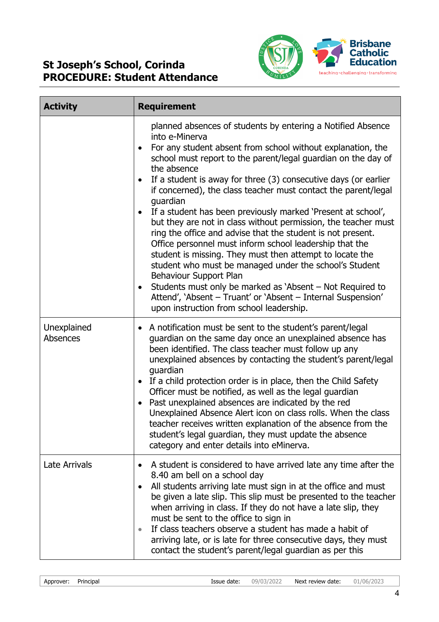

| <b>Activity</b>                | <b>Requirement</b>                                                                                                                                                                                                                                                                                                                                                                                                                                                                                                                                                                                                                                                                                                                                                                                                                                                                                                                                                      |  |
|--------------------------------|-------------------------------------------------------------------------------------------------------------------------------------------------------------------------------------------------------------------------------------------------------------------------------------------------------------------------------------------------------------------------------------------------------------------------------------------------------------------------------------------------------------------------------------------------------------------------------------------------------------------------------------------------------------------------------------------------------------------------------------------------------------------------------------------------------------------------------------------------------------------------------------------------------------------------------------------------------------------------|--|
|                                | planned absences of students by entering a Notified Absence<br>into e-Minerva<br>For any student absent from school without explanation, the<br>school must report to the parent/legal guardian on the day of<br>the absence<br>If a student is away for three (3) consecutive days (or earlier<br>٠<br>if concerned), the class teacher must contact the parent/legal<br>guardian<br>If a student has been previously marked 'Present at school',<br>but they are not in class without permission, the teacher must<br>ring the office and advise that the student is not present.<br>Office personnel must inform school leadership that the<br>student is missing. They must then attempt to locate the<br>student who must be managed under the school's Student<br>Behaviour Support Plan<br>Students must only be marked as 'Absent – Not Required to<br>Attend', 'Absent - Truant' or 'Absent - Internal Suspension'<br>upon instruction from school leadership. |  |
| Unexplained<br><b>Absences</b> | A notification must be sent to the student's parent/legal<br>guardian on the same day once an unexplained absence has<br>been identified. The class teacher must follow up any<br>unexplained absences by contacting the student's parent/legal<br>guardian<br>If a child protection order is in place, then the Child Safety<br>$\bullet$<br>Officer must be notified, as well as the legal guardian<br>Past unexplained absences are indicated by the red<br>Unexplained Absence Alert icon on class rolls. When the class<br>teacher receives written explanation of the absence from the<br>student's legal guardian, they must update the absence<br>category and enter details into eMinerva.                                                                                                                                                                                                                                                                     |  |
| Late Arrivals                  | A student is considered to have arrived late any time after the<br>8.40 am bell on a school day<br>All students arriving late must sign in at the office and must<br>$\bullet$<br>be given a late slip. This slip must be presented to the teacher<br>when arriving in class. If they do not have a late slip, they<br>must be sent to the office to sign in<br>If class teachers observe a student has made a habit of<br>arriving late, or is late for three consecutive days, they must<br>contact the student's parent/legal guardian as per this                                                                                                                                                                                                                                                                                                                                                                                                                   |  |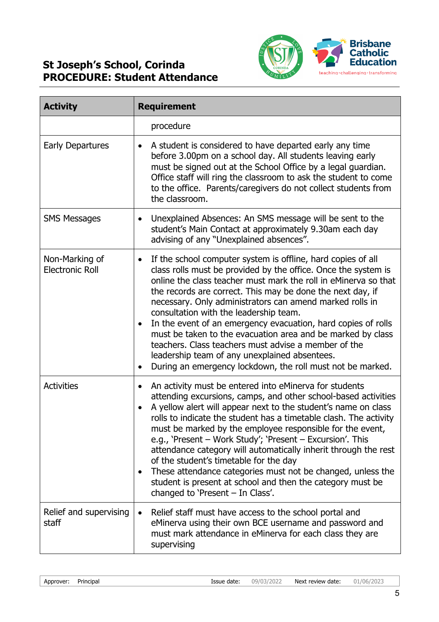

| <b>Activity</b>                          | <b>Requirement</b>                                                                                                                                                                                                                                                                                                                                                                                                                                                                                                                                                                                                                                                                        |  |
|------------------------------------------|-------------------------------------------------------------------------------------------------------------------------------------------------------------------------------------------------------------------------------------------------------------------------------------------------------------------------------------------------------------------------------------------------------------------------------------------------------------------------------------------------------------------------------------------------------------------------------------------------------------------------------------------------------------------------------------------|--|
|                                          | procedure                                                                                                                                                                                                                                                                                                                                                                                                                                                                                                                                                                                                                                                                                 |  |
| <b>Early Departures</b>                  | A student is considered to have departed early any time<br>before 3.00pm on a school day. All students leaving early<br>must be signed out at the School Office by a legal guardian.<br>Office staff will ring the classroom to ask the student to come<br>to the office. Parents/caregivers do not collect students from<br>the classroom.                                                                                                                                                                                                                                                                                                                                               |  |
| <b>SMS Messages</b>                      | Unexplained Absences: An SMS message will be sent to the<br>$\bullet$<br>student's Main Contact at approximately 9.30am each day<br>advising of any "Unexplained absences".                                                                                                                                                                                                                                                                                                                                                                                                                                                                                                               |  |
| Non-Marking of<br><b>Electronic Roll</b> | If the school computer system is offline, hard copies of all<br>$\bullet$<br>class rolls must be provided by the office. Once the system is<br>online the class teacher must mark the roll in eMinerva so that<br>the records are correct. This may be done the next day, if<br>necessary. Only administrators can amend marked rolls in<br>consultation with the leadership team.<br>In the event of an emergency evacuation, hard copies of rolls<br>must be taken to the evacuation area and be marked by class<br>teachers. Class teachers must advise a member of the<br>leadership team of any unexplained absentees.<br>During an emergency lockdown, the roll must not be marked. |  |
| <b>Activities</b>                        | An activity must be entered into eMinerva for students<br>attending excursions, camps, and other school-based activities<br>A yellow alert will appear next to the student's name on class<br>rolls to indicate the student has a timetable clash. The activity<br>must be marked by the employee responsible for the event,<br>e.g., 'Present - Work Study'; 'Present - Excursion'. This<br>attendance category will automatically inherit through the rest<br>of the student's timetable for the day<br>These attendance categories must not be changed, unless the<br>student is present at school and then the category must be<br>changed to 'Present $-$ In Class'.                 |  |
| Relief and supervising<br>staff          | Relief staff must have access to the school portal and<br>eMinerva using their own BCE username and password and<br>must mark attendance in eMinerva for each class they are<br>supervising                                                                                                                                                                                                                                                                                                                                                                                                                                                                                               |  |